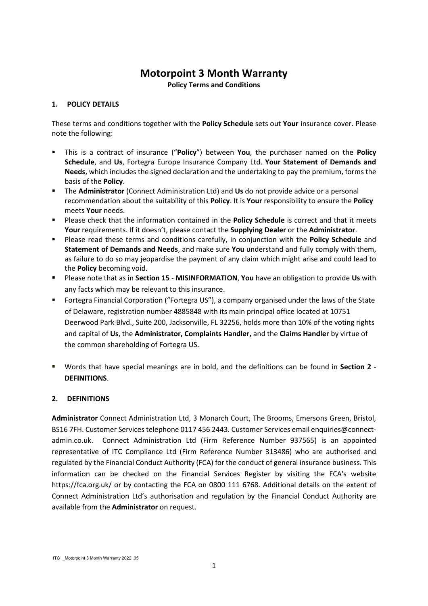# **Motorpoint 3 Month Warranty**

**Policy Terms and Conditions**

# **1. POLICY DETAILS**

These terms and conditions together with the **Policy Schedule** sets out **Your** insurance cover. Please note the following:

- This is a contract of insurance ("**Policy**") between **You**, the purchaser named on the **Policy Schedule**, and **Us**, Fortegra Europe Insurance Company Ltd. **Your Statement of Demands and Needs**, which includes the signed declaration and the undertaking to pay the premium, forms the basis of the **Policy**.
- The **Administrator** (Connect Administration Ltd) and **Us** do not provide advice or a personal recommendation about the suitability of this **Policy**. It is **Your** responsibility to ensure the **Policy** meets **Your** needs.
- Please check that the information contained in the **Policy Schedule** is correct and that it meets **Your** requirements. If it doesn't, please contact the **Supplying Dealer** or the **Administrator**.
- Please read these terms and conditions carefully, in conjunction with the **Policy Schedule** and **Statement of Demands and Needs**, and make sure **You** understand and fully comply with them, as failure to do so may jeopardise the payment of any claim which might arise and could lead to the **Policy** becoming void.
- Please note that as in **Section 15 MISINFORMATION**, **You** have an obligation to provide **Us** with any facts which may be relevant to this insurance.
- Fortegra Financial Corporation ("Fortegra US"), a company organised under the laws of the State of Delaware, registration number 4885848 with its main principal office located at 10751 Deerwood Park Blvd., Suite 200, Jacksonville, FL 32256, holds more than 10% of the voting rights and capital of **Us**, the **Administrator, Complaints Handler,** and the **Claims Handler** by virtue of the common shareholding of Fortegra US.
- Words that have special meanings are in bold, and the definitions can be found in **Section 2 DEFINITIONS**.

# **2. DEFINITIONS**

**Administrator** Connect Administration Ltd, 3 Monarch Court, The Brooms, Emersons Green, Bristol, BS16 7FH. Customer Services telephone 0117 456 2443. Customer Services email enquiries@connectadmin.co.uk. Connect Administration Ltd (Firm Reference Number 937565) is an appointed representative of ITC Compliance Ltd (Firm Reference Number 313486) who are authorised and regulated by the Financial Conduct Authority (FCA) for the conduct of general insurance business. This information can be checked on the Financial Services Register by visiting the FCA's website https://fca.org.uk/ or by contacting the FCA on 0800 111 6768. Additional details on the extent of Connect Administration Ltd's authorisation and regulation by the Financial Conduct Authority are available from the **Administrator** on request.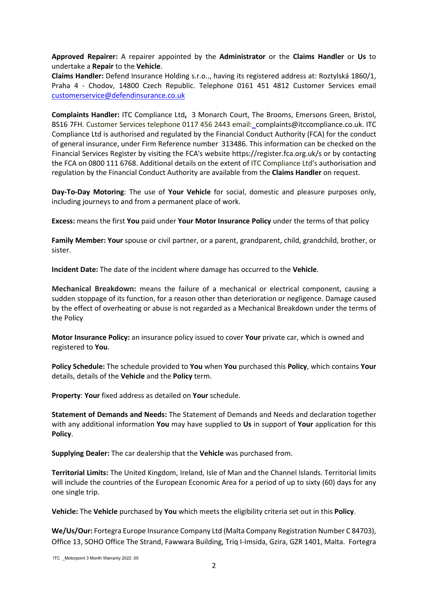**Approved Repairer:** A repairer appointed by the **Administrator** or the **Claims Handler** or **Us** to undertake a **Repair** to the **Vehicle**.

**Claims Handler:** Defend Insurance Holding s.r.o.., having its registered address at: Roztylská 1860/1, Praha 4 - Chodov, 14800 Czech Republic. Telephone 0161 451 4812 Customer Services email [customerservice@defendinsurance.co.uk](mailto:customerservice@defendinsurance.co.uk)

**Complaints Handler:** ITC Compliance Ltd**,** 3 Monarch Court, The Brooms, Emersons Green, Bristol, BS16 7FH. Customer Services telephone 0117 456 2443 email: complaints@itccompliance.co.uk. ITC Compliance Ltd is authorised and regulated by the Financial Conduct Authority (FCA) for the conduct of general insurance, under Firm Reference number 313486. This information can be checked on the Financial Services Register by visiting the FCA's website https://register.fca.org.uk/s or by contacting the FCA on 0800 111 6768. Additional details on the extent of ITC Compliance Ltd's authorisation and regulation by the Financial Conduct Authority are available from the **Claims Handler** on request.

**Day-To-Day Motoring**: The use of **Your Vehicle** for social, domestic and pleasure purposes only, including journeys to and from a permanent place of work.

**Excess:** means the first **You** paid under **Your Motor Insurance Policy** under the terms of that policy

**Family Member: Your** spouse or civil partner, or a parent, grandparent, child, grandchild, brother, or sister.

**Incident Date:** The date of the incident where damage has occurred to the **Vehicle**.

**Mechanical Breakdown:** means the failure of a mechanical or electrical component, causing a sudden stoppage of its function, for a reason other than deterioration or negligence. Damage caused by the effect of overheating or abuse is not regarded as a Mechanical Breakdown under the terms of the Policy

**Motor Insurance Policy:** an insurance policy issued to cover **Your** private car, which is owned and registered to **You**.

**Policy Schedule:** The schedule provided to **You** when **You** purchased this **Policy**, which contains **Your** details, details of the **Vehicle** and the **Policy** term.

**Property**: **Your** fixed address as detailed on **Your** schedule.

**Statement of Demands and Needs:** The Statement of Demands and Needs and declaration together with any additional information **You** may have supplied to **Us** in support of **Your** application for this **Policy**.

**Supplying Dealer:** The car dealership that the **Vehicle** was purchased from.

**Territorial Limits:** The United Kingdom, Ireland, Isle of Man and the Channel Islands. Territorial limits will include the countries of the European Economic Area for a period of up to sixty (60) days for any one single trip.

**Vehicle:** The **Vehicle** purchased by **You** which meets the eligibility criteria set out in this **Policy**.

**We/Us/Our:** Fortegra Europe Insurance Company Ltd (Malta Company Registration Number C 84703), Office 13, SOHO Office The Strand, Fawwara Building, Triq I-Imsida, Gzira, GZR 1401, Malta. Fortegra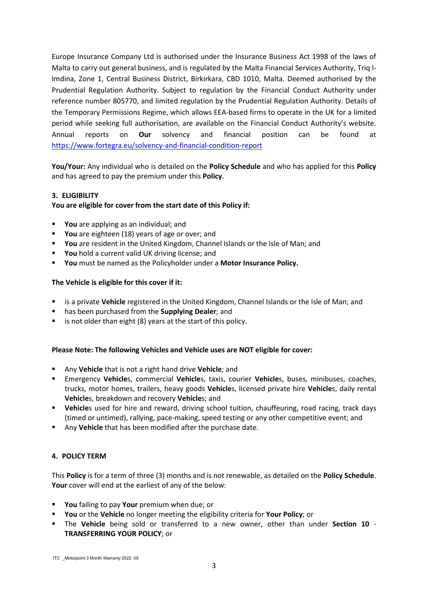Europe Insurance Company Ltd is authorised under the Insurance Business Act 1998 of the laws of Malta to carry out general business, and is regulated by the Malta Financial Services Authority, Triq l-Imdina, Zone 1, Central Business District, Birkirkara, CBD 1010, Malta. Deemed authorised by the Prudential Regulation Authority. Subject to regulation by the Financial Conduct Authority under reference number 805770, and limited regulation by the Prudential Regulation Authority. Details of the Temporary Permissions Regime, which allows EEA-based firms to operate in the UK for a limited period while seeking full authorisation, are available on the Financial Conduct Authority's website. Annual reports on **Our** solvency and financial position can be found at <https://www.fortegra.eu/solvency-and-financial-condition-report>

**You/Your:** Any individual who is detailed on the **Policy Schedule** and who has applied for this **Policy** and has agreed to pay the premium under this **Policy**.

## **3. ELIGIBILITY**

## **You are eligible for cover from the start date of this Policy if:**

- **You** are applying as an individual; and
- **You** are eighteen (18) years of age or over; and
- **You** are resident in the United Kingdom, Channel Islands or the Isle of Man; and
- **You** hold a current valid UK driving license; and
- **You** must be named as the Policyholder under a **Motor Insurance Policy.**

## **The Vehicle is eligible for this cover if it:**

- is a private **Vehicle** registered in the United Kingdom, Channel Islands or the Isle of Man; and
- has been purchased from the **Supplying Dealer**; and
- is not older than eight (8) years at the start of this policy.

## **Please Note: The following Vehicles and Vehicle uses are NOT eligible for cover:**

- Any **Vehicle** that is not a right hand drive **Vehicle**; and
- Emergency **Vehicle**s, commercial **Vehicle**s, taxis, courier **Vehicle**s, buses, minibuses, coaches, trucks, motor homes, trailers, heavy goods **Vehicle**s, licensed private hire **Vehicle**s, daily rental **Vehicle**s, breakdown and recovery **Vehicle**s; and
- **Vehicle**s used for hire and reward, driving school tuition, chauffeuring, road racing, track days (timed or untimed), rallying, pace-making, speed testing or any other competitive event; and
- Any **Vehicle** that has been modified after the purchase date.

## **4. POLICY TERM**

This **Policy** is for a term of three (3) months and is not renewable, as detailed on the **Policy Schedule**. **Your** cover will end at the earliest of any of the below:

- **You** failing to pay **Your** premium when due; or
- **You** or the **Vehicle** no longer meeting the eligibility criteria for **Your Policy**; or
- The **Vehicle** being sold or transferred to a new owner, other than under **Section 10 TRANSFERRING YOUR POLICY**; or

ITC \_Motorpoint 3 Month Warranty 2022 .05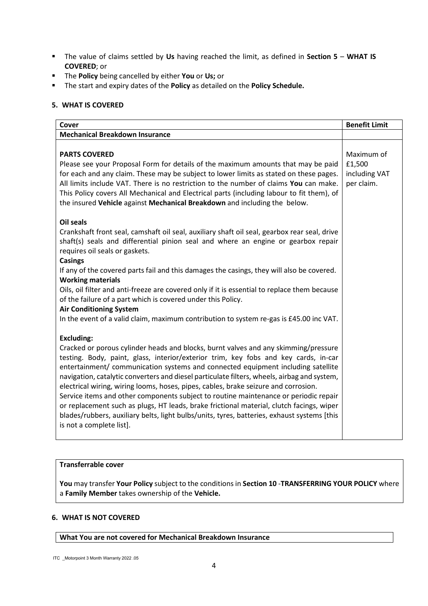- The value of claims settled by **Us** having reached the limit, as defined in **Section 5 WHAT IS COVERED**; or
- The **Policy** being cancelled by either **You** or **Us;** or
- The start and expiry dates of the **Policy** as detailed on the **Policy Schedule.**

## **5. WHAT IS COVERED**

| Cover                                                                                                                                                                                                                                                                                                                                                                                                                                                                                                                                                                                                                                                                                                                                                                                    | <b>Benefit Limit</b>                                |
|------------------------------------------------------------------------------------------------------------------------------------------------------------------------------------------------------------------------------------------------------------------------------------------------------------------------------------------------------------------------------------------------------------------------------------------------------------------------------------------------------------------------------------------------------------------------------------------------------------------------------------------------------------------------------------------------------------------------------------------------------------------------------------------|-----------------------------------------------------|
| <b>Mechanical Breakdown Insurance</b>                                                                                                                                                                                                                                                                                                                                                                                                                                                                                                                                                                                                                                                                                                                                                    |                                                     |
| <b>PARTS COVERED</b><br>Please see your Proposal Form for details of the maximum amounts that may be paid<br>for each and any claim. These may be subject to lower limits as stated on these pages.<br>All limits include VAT. There is no restriction to the number of claims You can make.<br>This Policy covers All Mechanical and Electrical parts (including labour to fit them), of<br>the insured Vehicle against Mechanical Breakdown and including the below.                                                                                                                                                                                                                                                                                                                   | Maximum of<br>£1,500<br>including VAT<br>per claim. |
| <b>Oil seals</b><br>Crankshaft front seal, camshaft oil seal, auxiliary shaft oil seal, gearbox rear seal, drive<br>shaft(s) seals and differential pinion seal and where an engine or gearbox repair<br>requires oil seals or gaskets.<br><b>Casings</b><br>If any of the covered parts fail and this damages the casings, they will also be covered.<br><b>Working materials</b><br>Oils, oil filter and anti-freeze are covered only if it is essential to replace them because<br>of the failure of a part which is covered under this Policy.<br><b>Air Conditioning System</b><br>In the event of a valid claim, maximum contribution to system re-gas is £45.00 inc VAT.                                                                                                          |                                                     |
| <b>Excluding:</b><br>Cracked or porous cylinder heads and blocks, burnt valves and any skimming/pressure<br>testing. Body, paint, glass, interior/exterior trim, key fobs and key cards, in-car<br>entertainment/ communication systems and connected equipment including satellite<br>navigation, catalytic converters and diesel particulate filters, wheels, airbag and system,<br>electrical wiring, wiring looms, hoses, pipes, cables, brake seizure and corrosion.<br>Service items and other components subject to routine maintenance or periodic repair<br>or replacement such as plugs, HT leads, brake frictional material, clutch facings, wiper<br>blades/rubbers, auxiliary belts, light bulbs/units, tyres, batteries, exhaust systems [this<br>is not a complete list]. |                                                     |

## **Transferrable cover**

**You** may transfer **Your Policy** subject to the conditions in **Section 10** -**TRANSFERRING YOUR POLICY** where a **Family Member** takes ownership of the **Vehicle.**

## **6. WHAT IS NOT COVERED**

#### **What You are not covered for Mechanical Breakdown Insurance**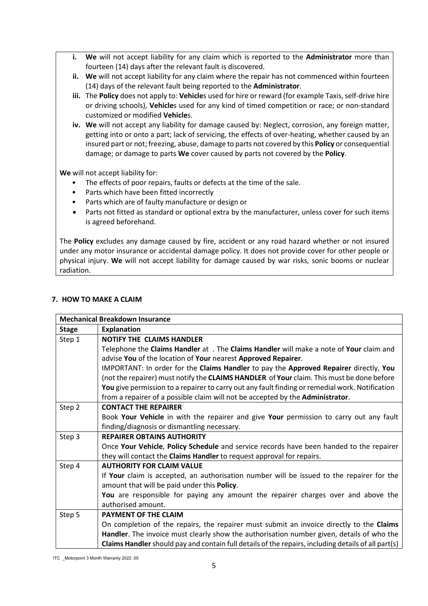- **i. We** will not accept liability for any claim which is reported to the **Administrator** more than fourteen (14) days after the relevant fault is discovered.
- **ii. We** will not accept liability for any claim where the repair has not commenced within fourteen (14) days of the relevant fault being reported to the **Administrator**.
- **iii.** The **Policy** does not apply to: **Vehicle**s used for hire or reward (for example Taxis, self-drive hire or driving schools), **Vehicle**s used for any kind of timed competition or race; or non-standard customized or modified **Vehicle**s.
- **iv. We** will not accept any liability for damage caused by: Neglect, corrosion, any foreign matter, getting into or onto a part; lack of servicing, the effects of over-heating, whether caused by an insured part or not; freezing, abuse, damage to parts not covered by this **Policy** or consequential damage; or damage to parts **We** cover caused by parts not covered by the **Policy**.

**We** will not accept liability for:

- The effects of poor repairs, faults or defects at the time of the sale.
- Parts which have been fitted incorrectly
- Parts which are of faulty manufacture or design or
- Parts not fitted as standard or optional extra by the manufacturer, unless cover for such items is agreed beforehand.

The **Policy** excludes any damage caused by fire, accident or any road hazard whether or not insured under any motor insurance or accidental damage policy. It does not provide cover for other people or physical injury. **We** will not accept liability for damage caused by war risks, sonic booms or nuclear radiation.

## **7. HOW TO MAKE A CLAIM**

| <b>Mechanical Breakdown Insurance</b> |                                                                                                     |  |
|---------------------------------------|-----------------------------------------------------------------------------------------------------|--|
| <b>Stage</b>                          | <b>Explanation</b>                                                                                  |  |
| Step 1                                | <b>NOTIFY THE CLAIMS HANDLER</b>                                                                    |  |
|                                       | Telephone the Claims Handler at . The Claims Handler will make a note of Your claim and             |  |
|                                       | advise You of the location of Your nearest Approved Repairer.                                       |  |
|                                       | IMPORTANT: In order for the Claims Handler to pay the Approved Repairer directly, You               |  |
|                                       | (not the repairer) must notify the CLAIMS HANDLER of Your claim. This must be done before           |  |
|                                       | You give permission to a repairer to carry out any fault finding or remedial work. Notification     |  |
|                                       | from a repairer of a possible claim will not be accepted by the Administrator.                      |  |
| Step 2                                | <b>CONTACT THE REPAIRER</b>                                                                         |  |
|                                       | Book Your Vehicle in with the repairer and give Your permission to carry out any fault              |  |
|                                       | finding/diagnosis or dismantling necessary.                                                         |  |
| Step 3                                | <b>REPAIRER OBTAINS AUTHORITY</b>                                                                   |  |
|                                       | Once Your Vehicle, Policy Schedule and service records have been handed to the repairer             |  |
|                                       | they will contact the Claims Handler to request approval for repairs.                               |  |
| Step 4                                | <b>AUTHORITY FOR CLAIM VALUE</b>                                                                    |  |
|                                       | If Your claim is accepted, an authorisation number will be issued to the repairer for the           |  |
|                                       | amount that will be paid under this Policy.                                                         |  |
|                                       | You are responsible for paying any amount the repairer charges over and above the                   |  |
|                                       | authorised amount.                                                                                  |  |
| Step 5                                | <b>PAYMENT OF THE CLAIM</b>                                                                         |  |
|                                       | On completion of the repairs, the repairer must submit an invoice directly to the Claims            |  |
|                                       | Handler. The invoice must clearly show the authorisation number given, details of who the           |  |
|                                       | Claims Handler should pay and contain full details of the repairs, including details of all part(s) |  |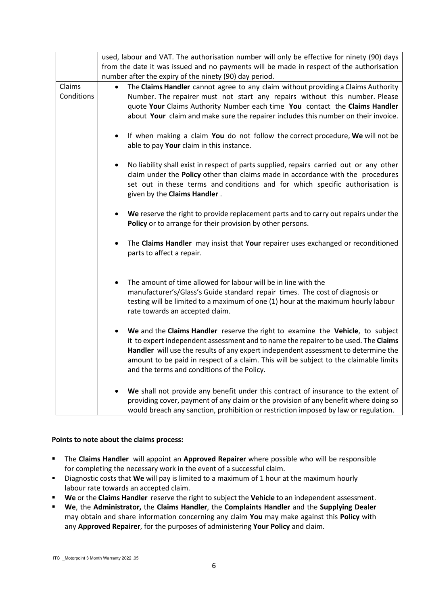|                      | used, labour and VAT. The authorisation number will only be effective for ninety (90) days<br>from the date it was issued and no payments will be made in respect of the authorisation<br>number after the expiry of the ninety (90) day period.                                                                                                                                                    |
|----------------------|-----------------------------------------------------------------------------------------------------------------------------------------------------------------------------------------------------------------------------------------------------------------------------------------------------------------------------------------------------------------------------------------------------|
| Claims<br>Conditions | The Claims Handler cannot agree to any claim without providing a Claims Authority<br>$\bullet$<br>Number. The repairer must not start any repairs without this number. Please<br>quote Your Claims Authority Number each time You contact the Claims Handler<br>about Your claim and make sure the repairer includes this number on their invoice.                                                  |
|                      | If when making a claim You do not follow the correct procedure, We will not be<br>$\bullet$<br>able to pay Your claim in this instance.                                                                                                                                                                                                                                                             |
|                      | No liability shall exist in respect of parts supplied, repairs carried out or any other<br>$\bullet$<br>claim under the Policy other than claims made in accordance with the procedures<br>set out in these terms and conditions and for which specific authorisation is<br>given by the Claims Handler.                                                                                            |
|                      | We reserve the right to provide replacement parts and to carry out repairs under the<br>Policy or to arrange for their provision by other persons.                                                                                                                                                                                                                                                  |
|                      | The Claims Handler may insist that Your repairer uses exchanged or reconditioned<br>$\bullet$<br>parts to affect a repair.                                                                                                                                                                                                                                                                          |
|                      | The amount of time allowed for labour will be in line with the<br>manufacturer's/Glass's Guide standard repair times. The cost of diagnosis or<br>testing will be limited to a maximum of one (1) hour at the maximum hourly labour<br>rate towards an accepted claim.                                                                                                                              |
|                      | We and the Claims Handler reserve the right to examine the Vehicle, to subject<br>it to expert independent assessment and to name the repairer to be used. The Claims<br>Handler will use the results of any expert independent assessment to determine the<br>amount to be paid in respect of a claim. This will be subject to the claimable limits<br>and the terms and conditions of the Policy. |
|                      | We shall not provide any benefit under this contract of insurance to the extent of<br>providing cover, payment of any claim or the provision of any benefit where doing so<br>would breach any sanction, prohibition or restriction imposed by law or regulation.                                                                                                                                   |

## **Points to note about the claims process:**

- The **Claims Handler** will appoint an **Approved Repairer** where possible who will be responsible for completing the necessary work in the event of a successful claim.
- Diagnostic costs that **We** will pay is limited to a maximum of 1 hour at the maximum hourly labour rate towards an accepted claim.
- **We** or the **Claims Handler** reserve the right to subject the **Vehicle** to an independent assessment.
- **We**, the **Administrator,** the **Claims Handler**, the **Complaints Handler** and the **Supplying Dealer**  may obtain and share information concerning any claim **You** may make against this **Policy** with any **Approved Repairer**, for the purposes of administering **Your Policy** and claim.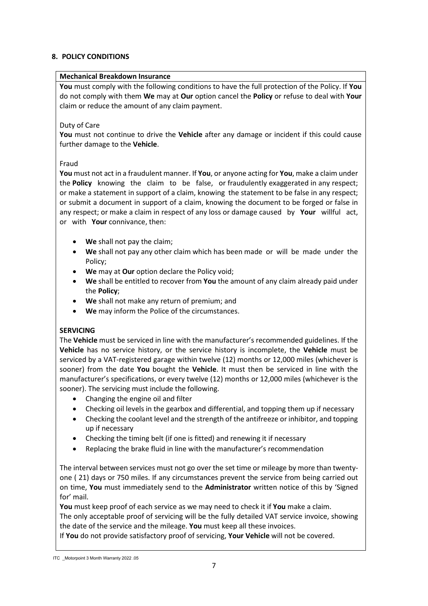## **8. POLICY CONDITIONS**

## **Mechanical Breakdown Insurance**

**You** must comply with the following conditions to have the full protection of the Policy. If **You** do not comply with them **We** may at **Our** option cancel the **Policy** or refuse to deal with **Your** claim or reduce the amount of any claim payment.

## Duty of Care

**You** must not continue to drive the **Vehicle** after any damage or incident if this could cause further damage to the **Vehicle**.

## Fraud

**You** must not act in a fraudulent manner. If **You**, or anyone acting for **You**, make a claim under the **Policy** knowing the claim to be false, or fraudulently exaggerated in any respect; or make a statement in support of a claim, knowing the statement to be false in any respect; or submit a document in support of a claim, knowing the document to be forged or false in any respect; or make a claim in respect of any loss or damage caused by **Your** willful act, or with **Your** connivance, then:

- **We** shall not pay the claim;
- **We** shall not pay any other claim which has been made or will be made under the Policy;
- **We** may at **Our** option declare the Policy void;
- **We** shall be entitled to recover from **You** the amount of any claim already paid under the **Policy**;
- **We** shall not make any return of premium; and
- **We** may inform the Police of the circumstances.

# **SERVICING**

The **Vehicle** must be serviced in line with the manufacturer's recommended guidelines. If the **Vehicle** has no service history, or the service history is incomplete, the **Vehicle** must be serviced by a VAT-registered garage within twelve (12) months or 12,000 miles (whichever is sooner) from the date **You** bought the **Vehicle**. It must then be serviced in line with the manufacturer's specifications, or every twelve (12) months or 12,000 miles (whichever is the sooner). The servicing must include the following.

- Changing the engine oil and filter
- Checking oil levels in the gearbox and differential, and topping them up if necessary
- Checking the coolant level and the strength of the antifreeze or inhibitor, and topping up if necessary
- Checking the timing belt (if one is fitted) and renewing it if necessary
- Replacing the brake fluid in line with the manufacturer's recommendation

The interval between services must not go over the set time or mileage by more than twentyone ( 21) days or 750 miles. If any circumstances prevent the service from being carried out on time, **You** must immediately send to the **Administrator** written notice of this by 'Signed for' mail.

**You** must keep proof of each service as we may need to check it if **You** make a claim. The only acceptable proof of servicing will be the fully detailed VAT service invoice, showing the date of the service and the mileage. **You** must keep all these invoices.

If **You** do not provide satisfactory proof of servicing, **Your Vehicle** will not be covered.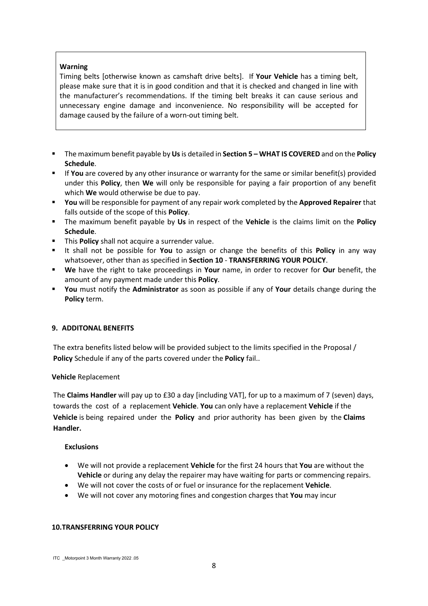## **Warning**

Timing belts [otherwise known as camshaft drive belts]. If **Your Vehicle** has a timing belt, please make sure that it is in good condition and that it is checked and changed in line with the manufacturer's recommendations. If the timing belt breaks it can cause serious and unnecessary engine damage and inconvenience. No responsibility will be accepted for damage caused by the failure of a worn-out timing belt.

- The maximum benefit payable by **Us**is detailed in **Section 5 – WHAT IS COVERED** and on the **Policy Schedule**.
- If **You** are covered by any other insurance or warranty for the same or similar benefit(s) provided under this **Policy**, then **We** will only be responsible for paying a fair proportion of any benefit which **We** would otherwise be due to pay.
- **You** will be responsible for payment of any repair work completed by the **Approved Repairer** that falls outside of the scope of this **Policy**.
- The maximum benefit payable by **Us** in respect of the **Vehicle** is the claims limit on the **Policy Schedule**.
- **This Policy** shall not acquire a surrender value.
- It shall not be possible for **You** to assign or change the benefits of this **Policy** in any way whatsoever, other than as specified in **Section 10** - **TRANSFERRING YOUR POLICY**.
- **We** have the right to take proceedings in **Your** name, in order to recover for **Our** benefit, the amount of any payment made under this **Policy**.
- **You** must notify the **Administrator** as soon as possible if any of **Your** details change during the **Policy** term.

## **9. ADDITONAL BENEFITS**

The extra benefits listed below will be provided subject to the limits specified in the Proposal / **Policy** Schedule if any of the parts covered under the **Policy** fail..

## **Vehicle** Replacement

The **Claims Handler** will pay up to £30 a day [including VAT], for up to a maximum of 7 (seven) days, towards the cost of a replacement **Vehicle**. **You** can only have a replacement **Vehicle** if the **Vehicle** is being repaired under the **Policy** and prior authority has been given by the **Claims Handler.** 

## **Exclusions**

- We will not provide a replacement **Vehicle** for the first 24 hours that **You** are without the **Vehicle** or during any delay the repairer may have waiting for parts or commencing repairs.
- We will not cover the costs of or fuel or insurance for the replacement **Vehicle**.
- We will not cover any motoring fines and congestion charges that **You** may incur

# **10.TRANSFERRING YOUR POLICY**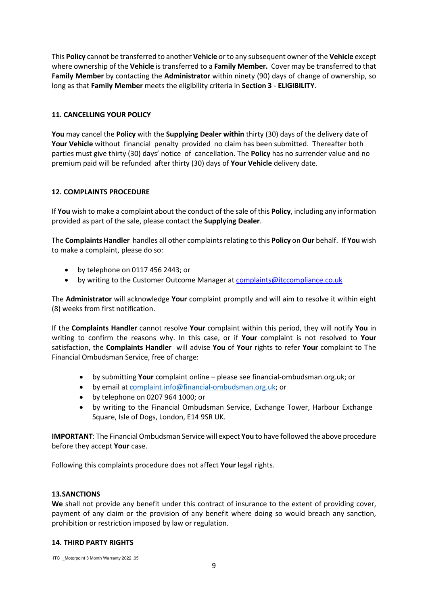This **Policy** cannot be transferred to another **Vehicle** or to any subsequent owner of the **Vehicle** except where ownership of the **Vehicle** is transferred to a **Family Member.** Cover may be transferred to that **Family Member** by contacting the **Administrator** within ninety (90) days of change of ownership, so long as that **Family Member** meets the eligibility criteria in **Section 3** - **ELIGIBILITY**.

## **11. CANCELLING YOUR POLICY**

**You** may cancel the **Policy** with the **Supplying Dealer within** thirty (30) days of the delivery date of **Your Vehicle** without financial penalty provided no claim has been submitted. Thereafter both parties must give thirty (30) days' notice of cancellation. The **Policy** has no surrender value and no premium paid will be refunded after thirty (30) days of **Your Vehicle** delivery date.

## **12. COMPLAINTS PROCEDURE**

If **You** wish to make a complaint about the conduct of the sale of this **Policy**, including any information provided as part of the sale, please contact the **Supplying Dealer**.

The **Complaints Handler** handles all other complaints relating to this **Policy** on **Our** behalf. If **You** wish to make a complaint, please do so:

- by telephone on 0117 456 2443; or
- by writing to the Customer Outcome Manager a[t complaints@itccompliance.co.uk](mailto:complaints@itccompliance.co.uk)

The **Administrator** will acknowledge **Your** complaint promptly and will aim to resolve it within eight (8) weeks from first notification.

If the **Complaints Handler** cannot resolve **Your** complaint within this period, they will notify **You** in writing to confirm the reasons why. In this case, or if **Your** complaint is not resolved to **Your** satisfaction, the **Complaints Handler** will advise **You** of **Your** rights to refer **Your** complaint to The Financial Ombudsman Service, free of charge:

- by submitting **Your** complaint online please see financial-ombudsman.org.uk; or
- by email at [complaint.info@financial-ombudsman.org.uk;](mailto:complaint.info@financial-ombudsman.org.uk) or
- by telephone on 0207 964 1000; or
- by writing to the Financial Ombudsman Service, Exchange Tower, Harbour Exchange Square, Isle of Dogs, London, E14 9SR UK.

**IMPORTANT**: The Financial Ombudsman Service will expect **You** to have followed the above procedure before they accept **Your** case.

Following this complaints procedure does not affect **Your** legal rights.

## **13.SANCTIONS**

**We** shall not provide any benefit under this contract of insurance to the extent of providing cover, payment of any claim or the provision of any benefit where doing so would breach any sanction, prohibition or restriction imposed by law or regulation.

## **14. THIRD PARTY RIGHTS**

ITC \_Motorpoint 3 Month Warranty 2022 .05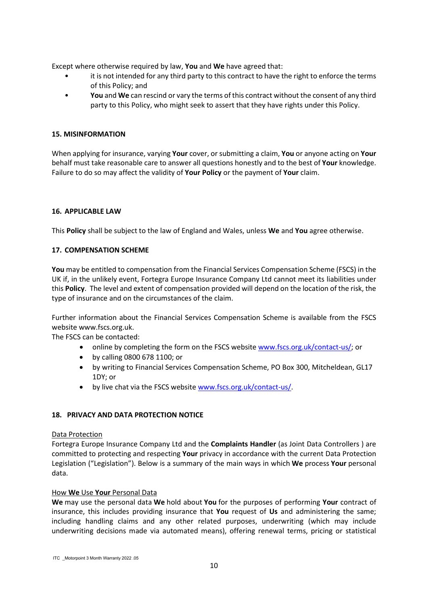Except where otherwise required by law, **You** and **We** have agreed that:

- it is not intended for any third party to this contract to have the right to enforce the terms of this Policy; and
- **You** and **We** can rescind or vary the terms of this contract without the consent of any third party to this Policy, who might seek to assert that they have rights under this Policy.

## **15. MISINFORMATION**

When applying for insurance, varying **Your** cover, or submitting a claim, **You** or anyone acting on **Your** behalf must take reasonable care to answer all questions honestly and to the best of **Your** knowledge. Failure to do so may affect the validity of **Your Policy** or the payment of **Your** claim.

## **16. APPLICABLE LAW**

This **Policy** shall be subject to the law of England and Wales, unless **We** and **You** agree otherwise.

## **17. COMPENSATION SCHEME**

**You** may be entitled to compensation from the Financial Services Compensation Scheme (FSCS) in the UK if, in the unlikely event, Fortegra Europe Insurance Company Ltd cannot meet its liabilities under this **Policy**. The level and extent of compensation provided will depend on the location of the risk, the type of insurance and on the circumstances of the claim.

Further information about the Financial Services Compensation Scheme is available from the FSCS website www.fscs.org.uk.

The FSCS can be contacted:

- online by completing the form on the FSCS website [www.fscs.org.uk/contact-us/;](http://www.fscs.org.uk/contact-us/) or
- by calling 0800 678 1100; or
- by writing to Financial Services Compensation Scheme, PO Box 300, Mitcheldean, GL17 1DY; or
- by live chat via the FSCS website [www.fscs.org.uk/contact-us/.](http://www.fscs.org.uk/contact-us/)

## **18. PRIVACY AND DATA PROTECTION NOTICE**

## Data Protection

Fortegra Europe Insurance Company Ltd and the **Complaints Handler** (as Joint Data Controllers ) are committed to protecting and respecting **Your** privacy in accordance with the current Data Protection Legislation ("Legislation"). Below is a summary of the main ways in which **We** process **Your** personal data.

## How **We** Use **Your** Personal Data

**We** may use the personal data **We** hold about **You** for the purposes of performing **Your** contract of insurance, this includes providing insurance that **You** request of **Us** and administering the same; including handling claims and any other related purposes, underwriting (which may include underwriting decisions made via automated means), offering renewal terms, pricing or statistical